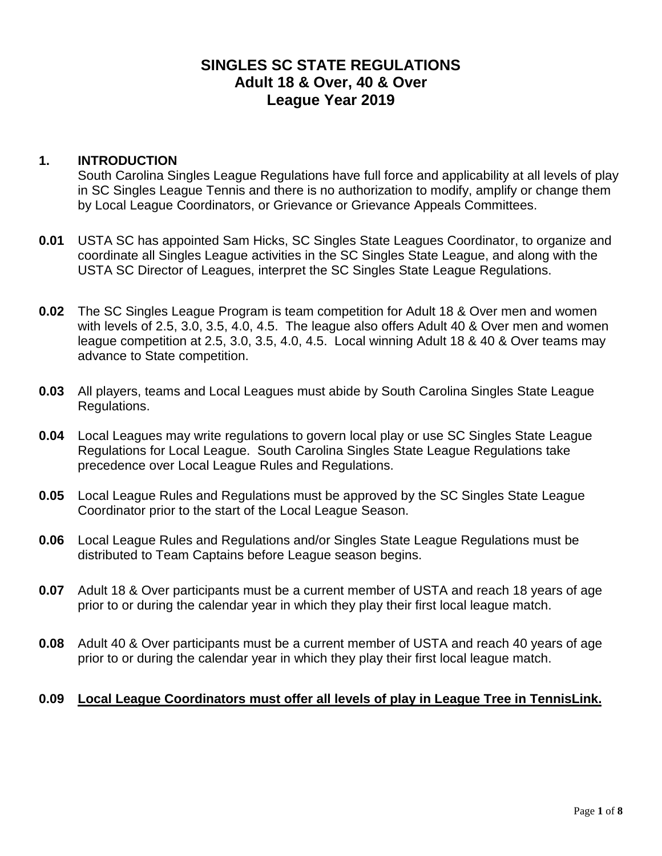# **SINGLES SC STATE REGULATIONS Adult 18 & Over, 40 & Over League Year 2019**

### **1. INTRODUCTION**

South Carolina Singles League Regulations have full force and applicability at all levels of play in SC Singles League Tennis and there is no authorization to modify, amplify or change them by Local League Coordinators, or Grievance or Grievance Appeals Committees.

- **0.01** USTA SC has appointed Sam Hicks, SC Singles State Leagues Coordinator, to organize and coordinate all Singles League activities in the SC Singles State League, and along with the USTA SC Director of Leagues, interpret the SC Singles State League Regulations.
- **0.02** The SC Singles League Program is team competition for Adult 18 & Over men and women with levels of 2.5, 3.0, 3.5, 4.0, 4.5. The league also offers Adult 40 & Over men and women league competition at 2.5, 3.0, 3.5, 4.0, 4.5. Local winning Adult 18 & 40 & Over teams may advance to State competition.
- **0.03** All players, teams and Local Leagues must abide by South Carolina Singles State League Regulations.
- **0.04** Local Leagues may write regulations to govern local play or use SC Singles State League Regulations for Local League. South Carolina Singles State League Regulations take precedence over Local League Rules and Regulations.
- **0.05** Local League Rules and Regulations must be approved by the SC Singles State League Coordinator prior to the start of the Local League Season.
- **0.06** Local League Rules and Regulations and/or Singles State League Regulations must be distributed to Team Captains before League season begins.
- **0.07** Adult 18 & Over participants must be a current member of USTA and reach 18 years of age prior to or during the calendar year in which they play their first local league match.
- **0.08** Adult 40 & Over participants must be a current member of USTA and reach 40 years of age prior to or during the calendar year in which they play their first local league match.

# **0.09 Local League Coordinators must offer all levels of play in League Tree in TennisLink.**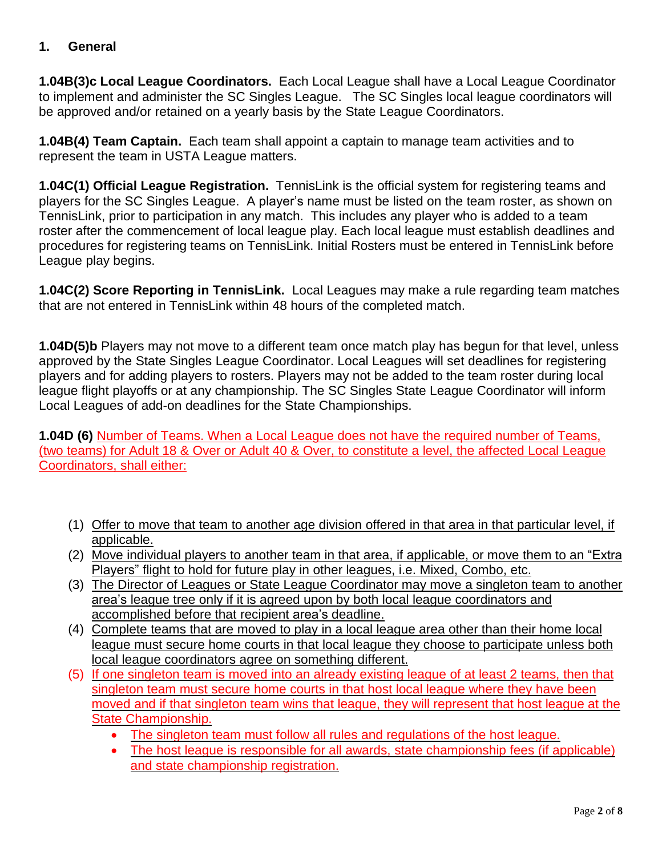### **1. General**

**1.04B(3)c Local League Coordinators.** Each Local League shall have a Local League Coordinator to implement and administer the SC Singles League. The SC Singles local league coordinators will be approved and/or retained on a yearly basis by the State League Coordinators.

**1.04B(4) Team Captain.** Each team shall appoint a captain to manage team activities and to represent the team in USTA League matters.

**1.04C(1) Official League Registration.** TennisLink is the official system for registering teams and players for the SC Singles League. A player's name must be listed on the team roster, as shown on TennisLink, prior to participation in any match. This includes any player who is added to a team roster after the commencement of local league play. Each local league must establish deadlines and procedures for registering teams on TennisLink. Initial Rosters must be entered in TennisLink before League play begins.

**1.04C(2) Score Reporting in TennisLink.** Local Leagues may make a rule regarding team matches that are not entered in TennisLink within 48 hours of the completed match.

**1.04D(5)b** Players may not move to a different team once match play has begun for that level, unless approved by the State Singles League Coordinator. Local Leagues will set deadlines for registering players and for adding players to rosters. Players may not be added to the team roster during local league flight playoffs or at any championship. The SC Singles State League Coordinator will inform Local Leagues of add-on deadlines for the State Championships.

**1.04D (6)** Number of Teams. When a Local League does not have the required number of Teams, (two teams) for Adult 18 & Over or Adult 40 & Over, to constitute a level, the affected Local League Coordinators, shall either:

- (1) Offer to move that team to another age division offered in that area in that particular level, if applicable.
- (2) Move individual players to another team in that area, if applicable, or move them to an "Extra Players" flight to hold for future play in other leagues, i.e. Mixed, Combo, etc.
- (3) The Director of Leagues or State League Coordinator may move a singleton team to another area's league tree only if it is agreed upon by both local league coordinators and accomplished before that recipient area's deadline.
- (4) Complete teams that are moved to play in a local league area other than their home local league must secure home courts in that local league they choose to participate unless both local league coordinators agree on something different.
- (5) If one singleton team is moved into an already existing league of at least 2 teams, then that singleton team must secure home courts in that host local league where they have been moved and if that singleton team wins that league, they will represent that host league at the State Championship.
	- The singleton team must follow all rules and regulations of the host league.
	- The host league is responsible for all awards, state championship fees (if applicable) and state championship registration.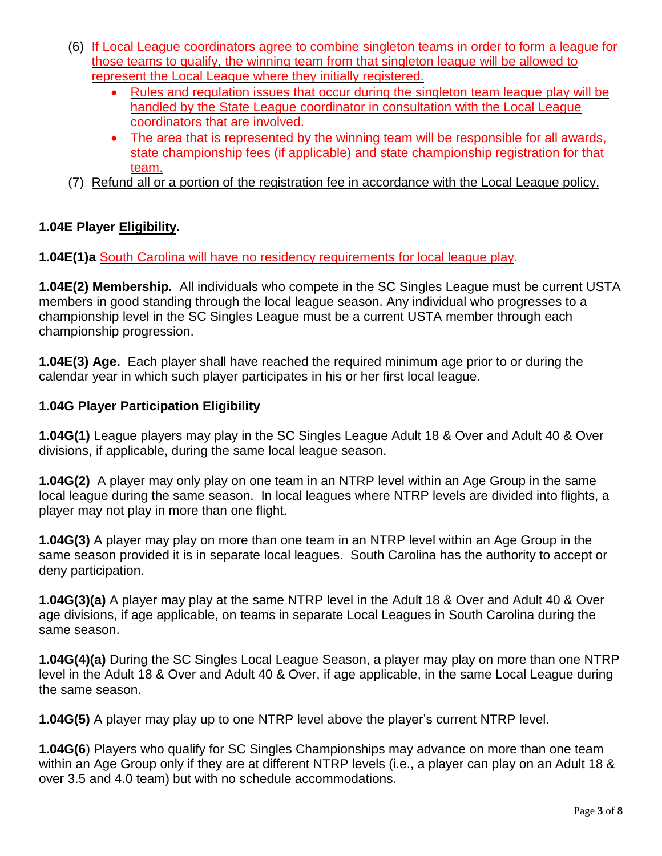- (6) If Local League coordinators agree to combine singleton teams in order to form a league for those teams to qualify, the winning team from that singleton league will be allowed to represent the Local League where they initially registered.
	- Rules and regulation issues that occur during the singleton team league play will be handled by the State League coordinator in consultation with the Local League coordinators that are involved.
	- The area that is represented by the winning team will be responsible for all awards, state championship fees (if applicable) and state championship registration for that team.
- (7) Refund all or a portion of the registration fee in accordance with the Local League policy.

# **1.04E Player Eligibility.**

**1.04E(1)a** South Carolina will have no residency requirements for local league play.

**1.04E(2) Membership.** All individuals who compete in the SC Singles League must be current USTA members in good standing through the local league season. Any individual who progresses to a championship level in the SC Singles League must be a current USTA member through each championship progression.

**1.04E(3) Age.** Each player shall have reached the required minimum age prior to or during the calendar year in which such player participates in his or her first local league.

# **1.04G Player Participation Eligibility**

**1.04G(1)** League players may play in the SC Singles League Adult 18 & Over and Adult 40 & Over divisions, if applicable, during the same local league season.

**1.04G(2)** A player may only play on one team in an NTRP level within an Age Group in the same local league during the same season. In local leagues where NTRP levels are divided into flights, a player may not play in more than one flight.

**1.04G(3)** A player may play on more than one team in an NTRP level within an Age Group in the same season provided it is in separate local leagues. South Carolina has the authority to accept or deny participation.

**1.04G(3)(a)** A player may play at the same NTRP level in the Adult 18 & Over and Adult 40 & Over age divisions, if age applicable, on teams in separate Local Leagues in South Carolina during the same season.

**1.04G(4)(a)** During the SC Singles Local League Season, a player may play on more than one NTRP level in the Adult 18 & Over and Adult 40 & Over, if age applicable, in the same Local League during the same season.

**1.04G(5)** A player may play up to one NTRP level above the player's current NTRP level.

**1.04G(6**) Players who qualify for SC Singles Championships may advance on more than one team within an Age Group only if they are at different NTRP levels (i.e., a player can play on an Adult 18 & over 3.5 and 4.0 team) but with no schedule accommodations.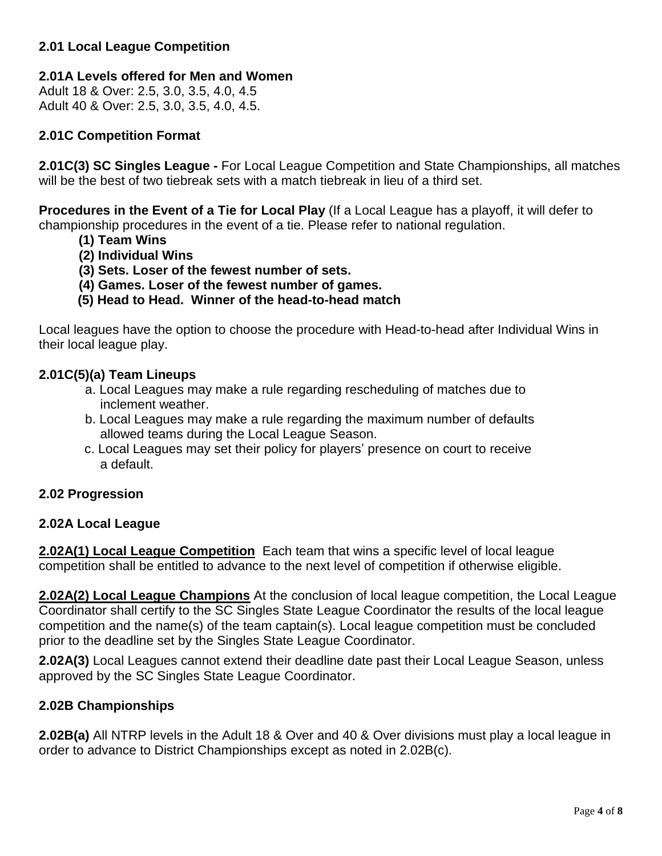### **2.01 Local League Competition**

### **2.01A Levels offered for Men and Women**

Adult 18 & Over: 2.5, 3.0, 3.5, 4.0, 4.5 Adult 40 & Over: 2.5, 3.0, 3.5, 4.0, 4.5.

### **2.01C Competition Format**

**2.01C(3) SC Singles League -** For Local League Competition and State Championships, all matches will be the best of two tiebreak sets with a match tiebreak in lieu of a third set.

**Procedures in the Event of a Tie for Local Play** (If a Local League has a playoff, it will defer to championship procedures in the event of a tie. Please refer to national regulation.

- **(1) Team Wins**
- **(2) Individual Wins**
- **(3) Sets. Loser of the fewest number of sets.**
- **(4) Games. Loser of the fewest number of games.**
- **(5) Head to Head. Winner of the head-to-head match**

Local leagues have the option to choose the procedure with Head-to-head after Individual Wins in their local league play.

### **2.01C(5)(a) Team Lineups**

- a. Local Leagues may make a rule regarding rescheduling of matches due to inclement weather.
- b. Local Leagues may make a rule regarding the maximum number of defaults allowed teams during the Local League Season.
- c. Local Leagues may set their policy for players' presence on court to receive a default.

#### **2.02 Progression**

#### **2.02A Local League**

**2.02A(1) Local League Competition** Each team that wins a specific level of local league competition shall be entitled to advance to the next level of competition if otherwise eligible.

**2.02A(2) Local League Champions** At the conclusion of local league competition, the Local League Coordinator shall certify to the SC Singles State League Coordinator the results of the local league competition and the name(s) of the team captain(s). Local league competition must be concluded prior to the deadline set by the Singles State League Coordinator.

**2.02A(3)** Local Leagues cannot extend their deadline date past their Local League Season, unless approved by the SC Singles State League Coordinator.

#### **2.02B Championships**

**2.02B(a)** All NTRP levels in the Adult 18 & Over and 40 & Over divisions must play a local league in order to advance to District Championships except as noted in 2.02B(c).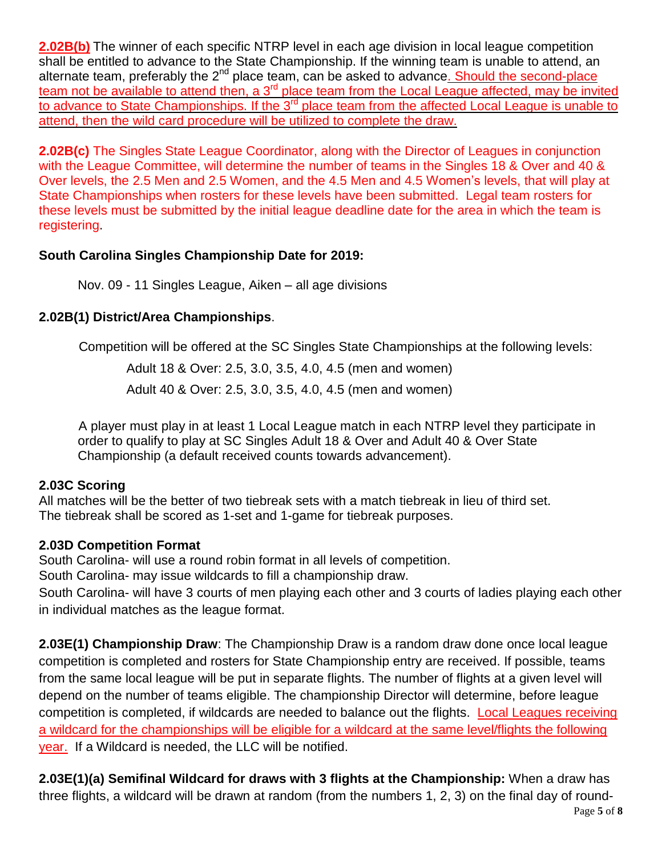**2.02B(b)** The winner of each specific NTRP level in each age division in local league competition shall be entitled to advance to the State Championship. If the winning team is unable to attend, an alternate team, preferably the 2<sup>nd</sup> place team, can be asked to advance. Should the second-place team not be available to attend then, a 3<sup>rd</sup> place team from the Local League affected, may be invited to advance to State Championships. If the 3<sup>rd</sup> place team from the affected Local League is unable to attend, then the wild card procedure will be utilized to complete the draw.

**2.02B(c)** The Singles State League Coordinator, along with the Director of Leagues in conjunction with the League Committee, will determine the number of teams in the Singles 18 & Over and 40 & Over levels, the 2.5 Men and 2.5 Women, and the 4.5 Men and 4.5 Women's levels, that will play at State Championships when rosters for these levels have been submitted. Legal team rosters for these levels must be submitted by the initial league deadline date for the area in which the team is registering.

# **South Carolina Singles Championship Date for 2019:**

Nov. 09 - 11 Singles League, Aiken – all age divisions

# **2.02B(1) District/Area Championships**.

Competition will be offered at the SC Singles State Championships at the following levels:

Adult 18 & Over: 2.5, 3.0, 3.5, 4.0, 4.5 (men and women) Adult 40 & Over: 2.5, 3.0, 3.5, 4.0, 4.5 (men and women)

A player must play in at least 1 Local League match in each NTRP level they participate in order to qualify to play at SC Singles Adult 18 & Over and Adult 40 & Over State Championship (a default received counts towards advancement).

# **2.03C Scoring**

All matches will be the better of two tiebreak sets with a match tiebreak in lieu of third set. The tiebreak shall be scored as 1-set and 1-game for tiebreak purposes.

# **2.03D Competition Format**

South Carolina- will use a round robin format in all levels of competition.

South Carolina- may issue wildcards to fill a championship draw.

South Carolina- will have 3 courts of men playing each other and 3 courts of ladies playing each other in individual matches as the league format.

**2.03E(1) Championship Draw**: The Championship Draw is a random draw done once local league competition is completed and rosters for State Championship entry are received. If possible, teams from the same local league will be put in separate flights. The number of flights at a given level will depend on the number of teams eligible. The championship Director will determine, before league competition is completed, if wildcards are needed to balance out the flights. Local Leagues receiving a wildcard for the championships will be eligible for a wildcard at the same level/flights the following year. If a Wildcard is needed, the LLC will be notified.

**2.03E(1)(a) Semifinal Wildcard for draws with 3 flights at the Championship:** When a draw has three flights, a wildcard will be drawn at random (from the numbers 1, 2, 3) on the final day of round-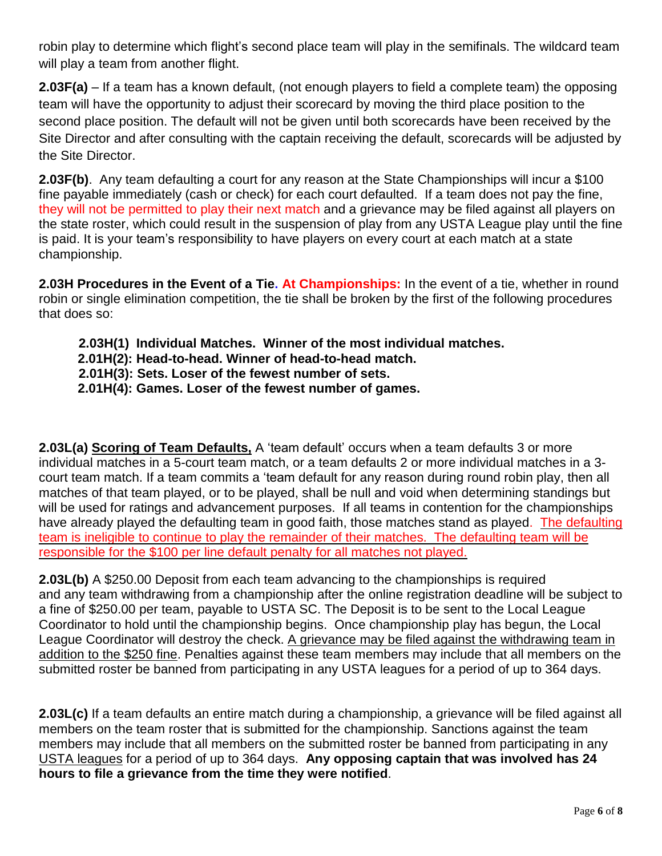robin play to determine which flight's second place team will play in the semifinals. The wildcard team will play a team from another flight.

**2.03F(a)** – If a team has a known default, (not enough players to field a complete team) the opposing team will have the opportunity to adjust their scorecard by moving the third place position to the second place position. The default will not be given until both scorecards have been received by the Site Director and after consulting with the captain receiving the default, scorecards will be adjusted by the Site Director.

**2.03F(b)**. Any team defaulting a court for any reason at the State Championships will incur a \$100 fine payable immediately (cash or check) for each court defaulted. If a team does not pay the fine, they will not be permitted to play their next match and a grievance may be filed against all players on the state roster, which could result in the suspension of play from any USTA League play until the fine is paid. It is your team's responsibility to have players on every court at each match at a state championship.

**2.03H Procedures in the Event of a Tie. At Championships:** In the event of a tie, whether in round robin or single elimination competition, the tie shall be broken by the first of the following procedures that does so:

**2.03H(1) Individual Matches. Winner of the most individual matches. 2.01H(2): Head-to-head. Winner of head-to-head match. 2.01H(3): Sets. Loser of the fewest number of sets. 2.01H(4): Games. Loser of the fewest number of games.**

**2.03L(a) Scoring of Team Defaults,** A 'team default' occurs when a team defaults 3 or more individual matches in a 5-court team match, or a team defaults 2 or more individual matches in a 3 court team match. If a team commits a 'team default for any reason during round robin play, then all matches of that team played, or to be played, shall be null and void when determining standings but will be used for ratings and advancement purposes. If all teams in contention for the championships have already played the defaulting team in good faith, those matches stand as played. The defaulting team is ineligible to continue to play the remainder of their matches. The defaulting team will be responsible for the \$100 per line default penalty for all matches not played.

**2.03L(b)** A \$250.00 Deposit from each team advancing to the championships is required and any team withdrawing from a championship after the online registration deadline will be subject to a fine of \$250.00 per team, payable to USTA SC. The Deposit is to be sent to the Local League Coordinator to hold until the championship begins. Once championship play has begun, the Local League Coordinator will destroy the check. A grievance may be filed against the withdrawing team in addition to the \$250 fine. Penalties against these team members may include that all members on the submitted roster be banned from participating in any USTA leagues for a period of up to 364 days.

**2.03L(c)** If a team defaults an entire match during a championship, a grievance will be filed against all members on the team roster that is submitted for the championship. Sanctions against the team members may include that all members on the submitted roster be banned from participating in any USTA leagues for a period of up to 364 days. **Any opposing captain that was involved has 24 hours to file a grievance from the time they were notified**.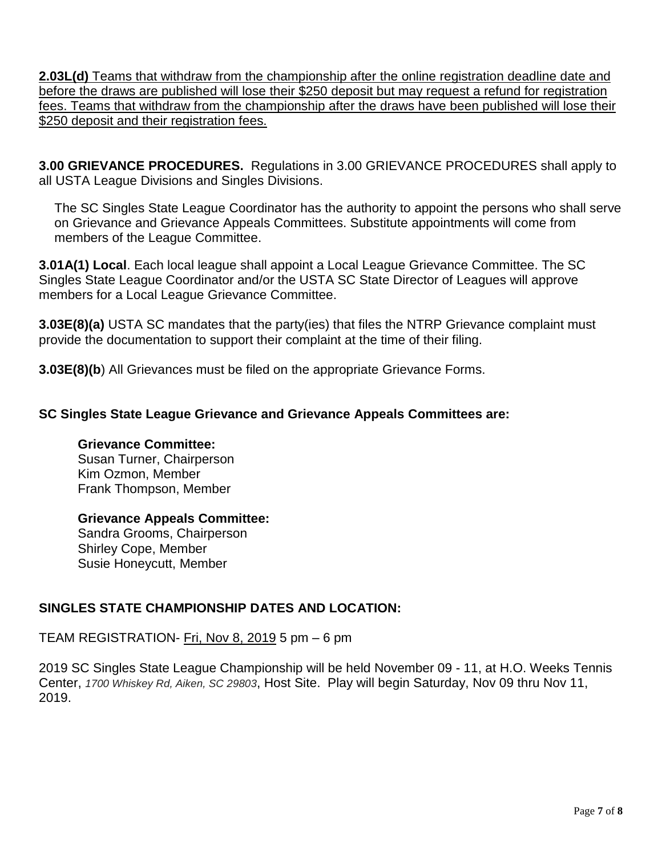**2.03L(d)** Teams that withdraw from the championship after the online registration deadline date and before the draws are published will lose their \$250 deposit but may request a refund for registration fees. Teams that withdraw from the championship after the draws have been published will lose their \$250 deposit and their registration fees.

**3.00 GRIEVANCE PROCEDURES.** Regulations in 3.00 GRIEVANCE PROCEDURES shall apply to all USTA League Divisions and Singles Divisions.

The SC Singles State League Coordinator has the authority to appoint the persons who shall serve on Grievance and Grievance Appeals Committees. Substitute appointments will come from members of the League Committee.

**3.01A(1) Local**. Each local league shall appoint a Local League Grievance Committee. The SC Singles State League Coordinator and/or the USTA SC State Director of Leagues will approve members for a Local League Grievance Committee.

**3.03E(8)(a)** USTA SC mandates that the party(ies) that files the NTRP Grievance complaint must provide the documentation to support their complaint at the time of their filing.

**3.03E(8)(b**) All Grievances must be filed on the appropriate Grievance Forms.

# **SC Singles State League Grievance and Grievance Appeals Committees are:**

### **Grievance Committee:**

Susan Turner, Chairperson Kim Ozmon, Member Frank Thompson, Member

### **Grievance Appeals Committee:**

Sandra Grooms, Chairperson Shirley Cope, Member Susie Honeycutt, Member

# **SINGLES STATE CHAMPIONSHIP DATES AND LOCATION:**

# TEAM REGISTRATION- Fri, Nov 8, 2019 5 pm - 6 pm

2019 SC Singles State League Championship will be held November 09 - 11, at H.O. Weeks Tennis Center, *1700 Whiskey Rd, Aiken, SC 29803*, Host Site. Play will begin Saturday, Nov 09 thru Nov 11, 2019.